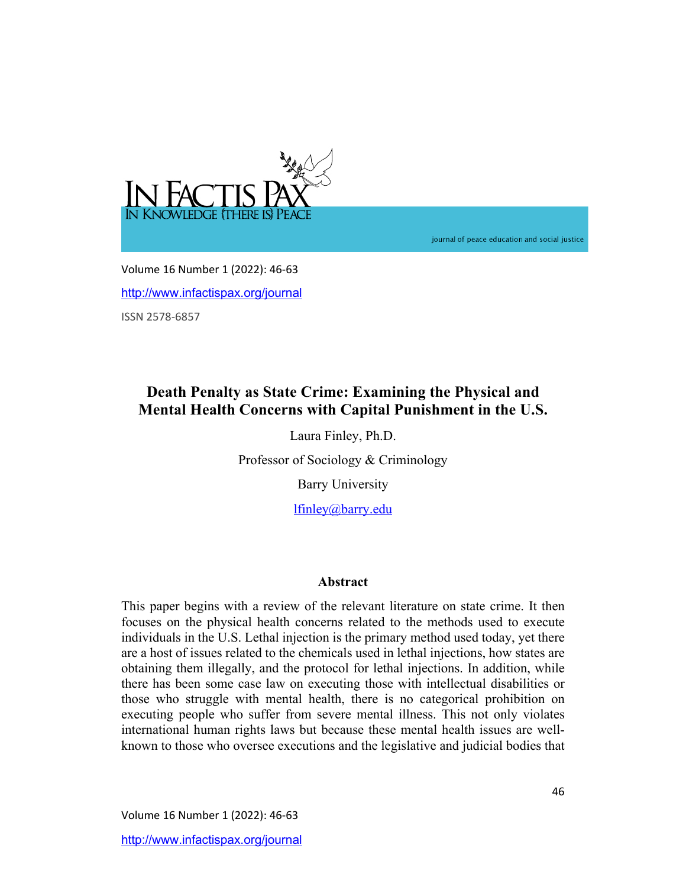

journal of peace education and social justice

Volume 16 Number 1 (2022): 46-63 http://www.infactispax.org/journal ISSN 2578-6857

# **Death Penalty as State Crime: Examining the Physical and Mental Health Concerns with Capital Punishment in the U.S.**

Laura Finley, Ph.D.

Professor of Sociology & Criminology

Barry University

lfinley@barry.edu

# **Abstract**

This paper begins with a review of the relevant literature on state crime. It then focuses on the physical health concerns related to the methods used to execute individuals in the U.S. Lethal injection is the primary method used today, yet there are a host of issues related to the chemicals used in lethal injections, how states are obtaining them illegally, and the protocol for lethal injections. In addition, while there has been some case law on executing those with intellectual disabilities or those who struggle with mental health, there is no categorical prohibition on executing people who suffer from severe mental illness. This not only violates international human rights laws but because these mental health issues are wellknown to those who oversee executions and the legislative and judicial bodies that

Volume 16 Number 1 (2022): 46-63 http://www.infactispax.org/journal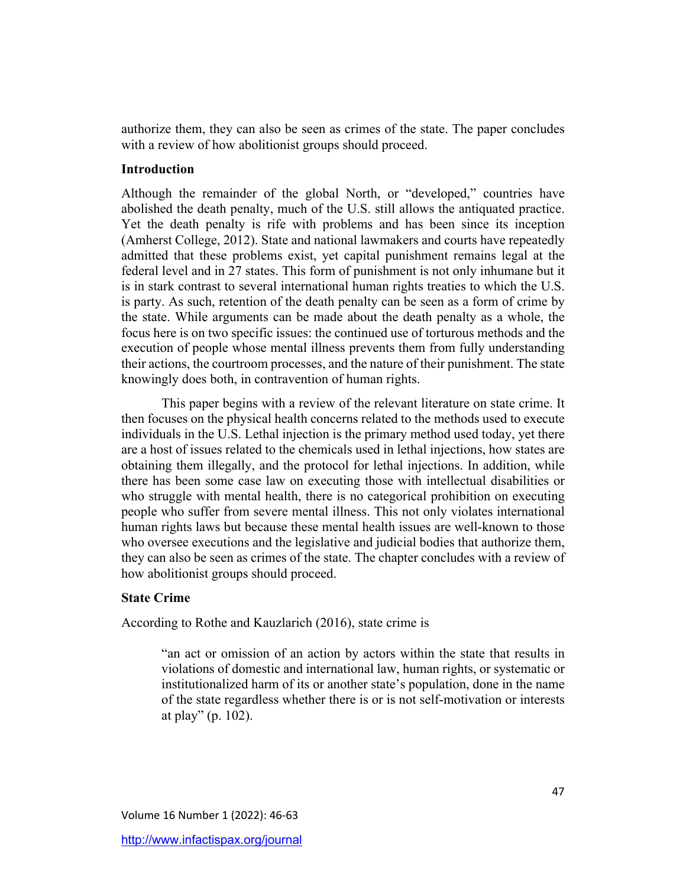authorize them, they can also be seen as crimes of the state. The paper concludes with a review of how abolitionist groups should proceed.

### **Introduction**

Although the remainder of the global North, or "developed," countries have abolished the death penalty, much of the U.S. still allows the antiquated practice. Yet the death penalty is rife with problems and has been since its inception (Amherst College, 2012). State and national lawmakers and courts have repeatedly admitted that these problems exist, yet capital punishment remains legal at the federal level and in 27 states. This form of punishment is not only inhumane but it is in stark contrast to several international human rights treaties to which the U.S. is party. As such, retention of the death penalty can be seen as a form of crime by the state. While arguments can be made about the death penalty as a whole, the focus here is on two specific issues: the continued use of torturous methods and the execution of people whose mental illness prevents them from fully understanding their actions, the courtroom processes, and the nature of their punishment. The state knowingly does both, in contravention of human rights.

This paper begins with a review of the relevant literature on state crime. It then focuses on the physical health concerns related to the methods used to execute individuals in the U.S. Lethal injection is the primary method used today, yet there are a host of issues related to the chemicals used in lethal injections, how states are obtaining them illegally, and the protocol for lethal injections. In addition, while there has been some case law on executing those with intellectual disabilities or who struggle with mental health, there is no categorical prohibition on executing people who suffer from severe mental illness. This not only violates international human rights laws but because these mental health issues are well-known to those who oversee executions and the legislative and judicial bodies that authorize them, they can also be seen as crimes of the state. The chapter concludes with a review of how abolitionist groups should proceed.

# **State Crime**

According to Rothe and Kauzlarich (2016), state crime is

"an act or omission of an action by actors within the state that results in violations of domestic and international law, human rights, or systematic or institutionalized harm of its or another state's population, done in the name of the state regardless whether there is or is not self-motivation or interests at play" (p. 102).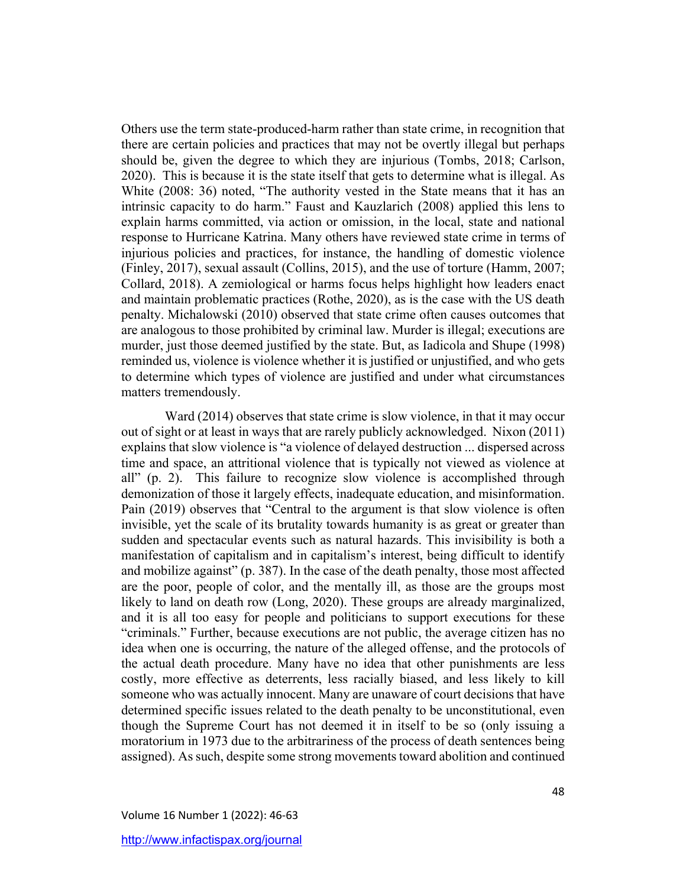Others use the term state-produced-harm rather than state crime, in recognition that there are certain policies and practices that may not be overtly illegal but perhaps should be, given the degree to which they are injurious (Tombs, 2018; Carlson, 2020). This is because it is the state itself that gets to determine what is illegal. As White (2008: 36) noted, "The authority vested in the State means that it has an intrinsic capacity to do harm." Faust and Kauzlarich (2008) applied this lens to explain harms committed, via action or omission, in the local, state and national response to Hurricane Katrina. Many others have reviewed state crime in terms of injurious policies and practices, for instance, the handling of domestic violence (Finley, 2017), sexual assault (Collins, 2015), and the use of torture (Hamm, 2007; Collard, 2018). A zemiological or harms focus helps highlight how leaders enact and maintain problematic practices (Rothe, 2020), as is the case with the US death penalty. Michalowski (2010) observed that state crime often causes outcomes that are analogous to those prohibited by criminal law. Murder is illegal; executions are murder, just those deemed justified by the state. But, as Iadicola and Shupe (1998) reminded us, violence is violence whether it is justified or unjustified, and who gets to determine which types of violence are justified and under what circumstances matters tremendously.

Ward (2014) observes that state crime is slow violence, in that it may occur out of sight or at least in ways that are rarely publicly acknowledged. Nixon (2011) explains that slow violence is "a violence of delayed destruction ... dispersed across time and space, an attritional violence that is typically not viewed as violence at all" (p. 2). This failure to recognize slow violence is accomplished through demonization of those it largely effects, inadequate education, and misinformation. Pain (2019) observes that "Central to the argument is that slow violence is often invisible, yet the scale of its brutality towards humanity is as great or greater than sudden and spectacular events such as natural hazards. This invisibility is both a manifestation of capitalism and in capitalism's interest, being difficult to identify and mobilize against" (p. 387). In the case of the death penalty, those most affected are the poor, people of color, and the mentally ill, as those are the groups most likely to land on death row (Long, 2020). These groups are already marginalized, and it is all too easy for people and politicians to support executions for these "criminals." Further, because executions are not public, the average citizen has no idea when one is occurring, the nature of the alleged offense, and the protocols of the actual death procedure. Many have no idea that other punishments are less costly, more effective as deterrents, less racially biased, and less likely to kill someone who was actually innocent. Many are unaware of court decisions that have determined specific issues related to the death penalty to be unconstitutional, even though the Supreme Court has not deemed it in itself to be so (only issuing a moratorium in 1973 due to the arbitrariness of the process of death sentences being assigned). As such, despite some strong movements toward abolition and continued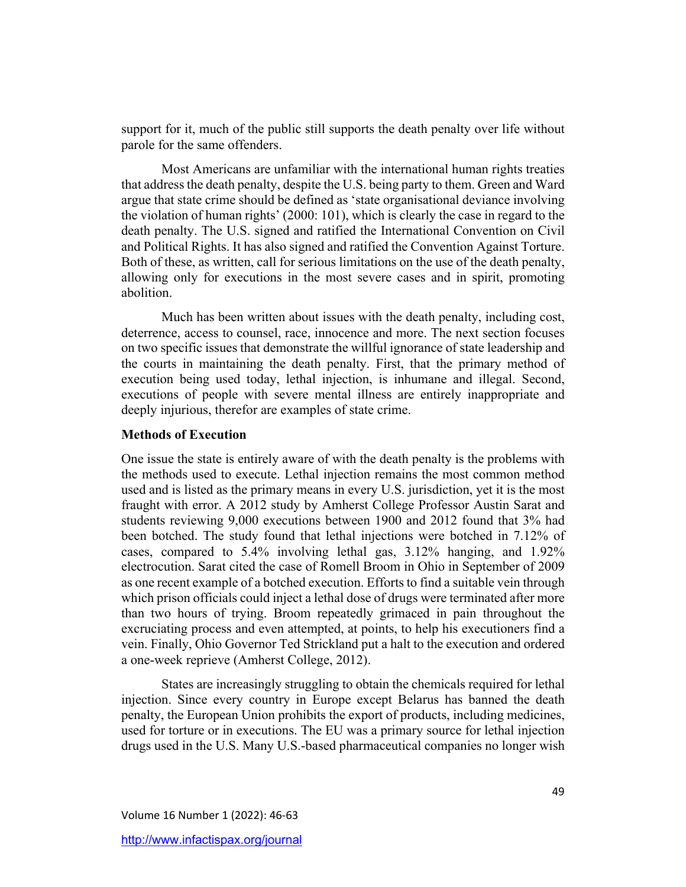support for it, much of the public still supports the death penalty over life without parole for the same offenders.

Most Americans are unfamiliar with the international human rights treaties that address the death penalty, despite the U.S. being party to them. Green and Ward argue that state crime should be defined as 'state organisational deviance involving the violation of human rights' (2000: 101), which is clearly the case in regard to the death penalty. The U.S. signed and ratified the International Convention on Civil and Political Rights. It has also signed and ratified the Convention Against Torture. Both of these, as written, call for serious limitations on the use of the death penalty, allowing only for executions in the most severe cases and in spirit, promoting abolition.

Much has been written about issues with the death penalty, including cost, deterrence, access to counsel, race, innocence and more. The next section focuses on two specific issues that demonstrate the willful ignorance of state leadership and the courts in maintaining the death penalty. First, that the primary method of execution being used today, lethal injection, is inhumane and illegal. Second, executions of people with severe mental illness are entirely inappropriate and deeply injurious, therefor are examples of state crime.

### **Methods of Execution**

One issue the state is entirely aware of with the death penalty is the problems with the methods used to execute. Lethal injection remains the most common method used and is listed as the primary means in every U.S. jurisdiction, yet it is the most fraught with error. A 2012 study by Amherst College Professor Austin Sarat and students reviewing 9,000 executions between 1900 and 2012 found that 3% had been botched. The study found that lethal injections were botched in 7.12% of cases, compared to 5.4% involving lethal gas, 3.12% hanging, and 1.92% electrocution. Sarat cited the case of Romell Broom in Ohio in September of 2009 as one recent example of a botched execution. Efforts to find a suitable vein through which prison officials could inject a lethal dose of drugs were terminated after more than two hours of trying. Broom repeatedly grimaced in pain throughout the excruciating process and even attempted, at points, to help his executioners find a vein. Finally, Ohio Governor Ted Strickland put a halt to the execution and ordered a one-week reprieve (Amherst College, 2012).

States are increasingly struggling to obtain the chemicals required for lethal injection. Since every country in Europe except Belarus has banned the death penalty, the European Union prohibits the export of products, including medicines, used for torture or in executions. The EU was a primary source for lethal injection drugs used in the U.S. Many U.S.-based pharmaceutical companies no longer wish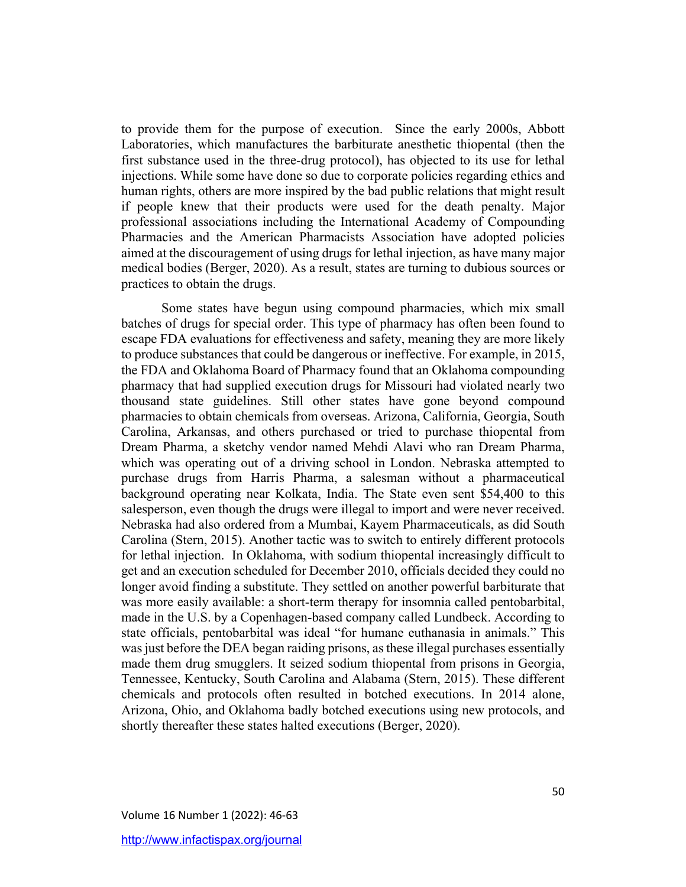to provide them for the purpose of execution. Since the early 2000s, Abbott Laboratories, which manufactures the barbiturate anesthetic thiopental (then the first substance used in the three-drug protocol), has objected to its use for lethal injections. While some have done so due to corporate policies regarding ethics and human rights, others are more inspired by the bad public relations that might result if people knew that their products were used for the death penalty. Major professional associations including the International Academy of Compounding Pharmacies and the American Pharmacists Association have adopted policies aimed at the discouragement of using drugs for lethal injection, as have many major medical bodies (Berger, 2020). As a result, states are turning to dubious sources or practices to obtain the drugs.

Some states have begun using compound pharmacies, which mix small batches of drugs for special order. This type of pharmacy has often been found to escape FDA evaluations for effectiveness and safety, meaning they are more likely to produce substances that could be dangerous or ineffective. For example, in 2015, the FDA and Oklahoma Board of Pharmacy found that an Oklahoma compounding pharmacy that had supplied execution drugs for Missouri had violated nearly two thousand state guidelines. Still other states have gone beyond compound pharmacies to obtain chemicals from overseas. Arizona, California, Georgia, South Carolina, Arkansas, and others purchased or tried to purchase thiopental from Dream Pharma, a sketchy vendor named Mehdi Alavi who ran Dream Pharma, which was operating out of a driving school in London. Nebraska attempted to purchase drugs from Harris Pharma, a salesman without a pharmaceutical background operating near Kolkata, India. The State even sent \$54,400 to this salesperson, even though the drugs were illegal to import and were never received. Nebraska had also ordered from a Mumbai, Kayem Pharmaceuticals, as did South Carolina (Stern, 2015). Another tactic was to switch to entirely different protocols for lethal injection. In Oklahoma, with sodium thiopental increasingly difficult to get and an execution scheduled for December 2010, officials decided they could no longer avoid finding a substitute. They settled on another powerful barbiturate that was more easily available: a short-term therapy for insomnia called pentobarbital, made in the U.S. by a Copenhagen-based company called Lundbeck. According to state officials, pentobarbital was ideal "for humane euthanasia in animals." This was just before the DEA began raiding prisons, as these illegal purchases essentially made them drug smugglers. It seized sodium thiopental from prisons in Georgia, Tennessee, Kentucky, South Carolina and Alabama (Stern, 2015). These different chemicals and protocols often resulted in botched executions. In 2014 alone, Arizona, Ohio, and Oklahoma badly botched executions using new protocols, and shortly thereafter these states halted executions (Berger, 2020).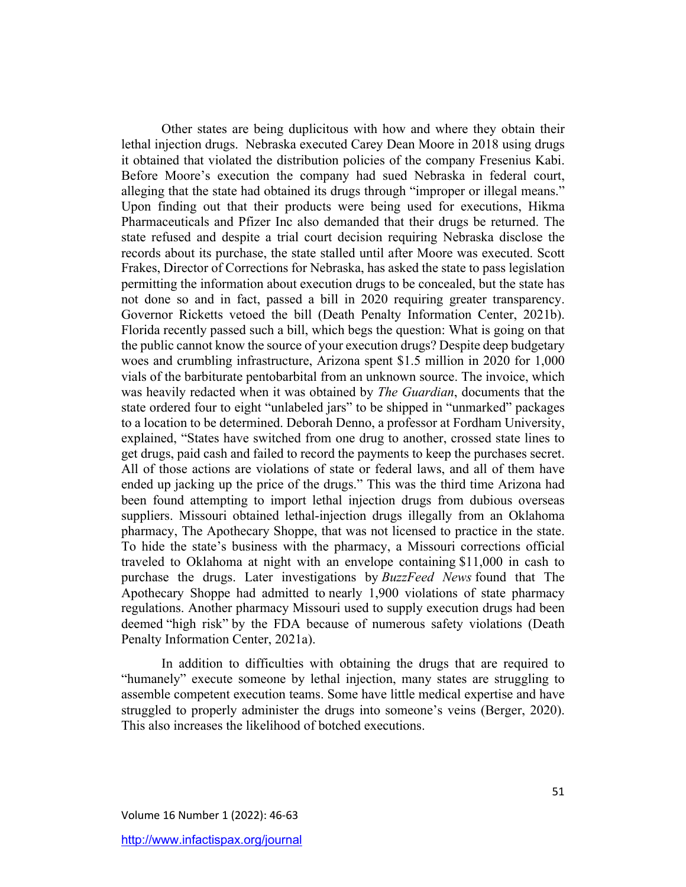Other states are being duplicitous with how and where they obtain their lethal injection drugs. Nebraska executed Carey Dean Moore in 2018 using drugs it obtained that violated the distribution policies of the company Fresenius Kabi. Before Moore's execution the company had sued Nebraska in federal court, alleging that the state had obtained its drugs through "improper or illegal means." Upon finding out that their products were being used for executions, Hikma Pharmaceuticals and Pfizer Inc also demanded that their drugs be returned. The state refused and despite a trial court decision requiring Nebraska disclose the records about its purchase, the state stalled until after Moore was executed. Scott Frakes, Director of Corrections for Nebraska, has asked the state to pass legislation permitting the information about execution drugs to be concealed, but the state has not done so and in fact, passed a bill in 2020 requiring greater transparency. Governor Ricketts vetoed the bill (Death Penalty Information Center, 2021b). Florida recently passed such a bill, which begs the question: What is going on that the public cannot know the source of your execution drugs? Despite deep budgetary woes and crumbling infrastructure, Arizona spent \$1.5 million in 2020 for 1,000 vials of the barbiturate pentobarbital from an unknown source. The invoice, which was heavily redacted when it was obtained by *The Guardian*, documents that the state ordered four to eight "unlabeled jars" to be shipped in "unmarked" packages to a location to be determined. Deborah Denno, a professor at Fordham University, explained, "States have switched from one drug to another, crossed state lines to get drugs, paid cash and failed to record the payments to keep the purchases secret. All of those actions are violations of state or federal laws, and all of them have ended up jacking up the price of the drugs." This was the third time Arizona had been found attempting to import lethal injection drugs from dubious overseas suppliers. Missouri obtained lethal-injection drugs illegally from an Oklahoma pharmacy, The Apothecary Shoppe, that was not licensed to practice in the state. To hide the state's business with the pharmacy, a Missouri corrections official traveled to Oklahoma at night with an envelope containing \$11,000 in cash to purchase the drugs. Later investigations by *BuzzFeed News* found that The Apothecary Shoppe had admitted to nearly 1,900 violations of state pharmacy regulations. Another pharmacy Missouri used to supply execution drugs had been deemed "high risk" by the FDA because of numerous safety violations (Death Penalty Information Center, 2021a).

In addition to difficulties with obtaining the drugs that are required to "humanely" execute someone by lethal injection, many states are struggling to assemble competent execution teams. Some have little medical expertise and have struggled to properly administer the drugs into someone's veins (Berger, 2020). This also increases the likelihood of botched executions.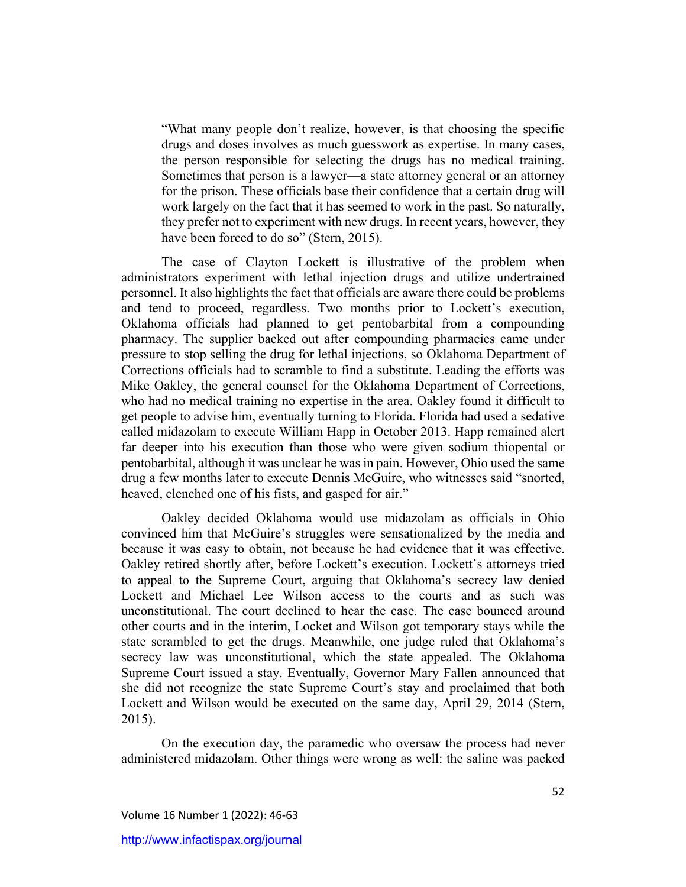"What many people don't realize, however, is that choosing the specific drugs and doses involves as much guesswork as expertise. In many cases, the person responsible for selecting the drugs has no medical training. Sometimes that person is a lawyer—a state attorney general or an attorney for the prison. These officials base their confidence that a certain drug will work largely on the fact that it has seemed to work in the past. So naturally, they prefer not to experiment with new drugs. In recent years, however, they have been forced to do so" (Stern, 2015).

The case of Clayton Lockett is illustrative of the problem when administrators experiment with lethal injection drugs and utilize undertrained personnel. It also highlights the fact that officials are aware there could be problems and tend to proceed, regardless. Two months prior to Lockett's execution, Oklahoma officials had planned to get pentobarbital from a compounding pharmacy. The supplier backed out after compounding pharmacies came under pressure to stop selling the drug for lethal injections, so Oklahoma Department of Corrections officials had to scramble to find a substitute. Leading the efforts was Mike Oakley, the general counsel for the Oklahoma Department of Corrections, who had no medical training no expertise in the area. Oakley found it difficult to get people to advise him, eventually turning to Florida. Florida had used a sedative called midazolam to execute William Happ in October 2013. Happ remained alert far deeper into his execution than those who were given sodium thiopental or pentobarbital, although it was unclear he was in pain. However, Ohio used the same drug a few months later to execute Dennis McGuire, who witnesses said "snorted, heaved, clenched one of his fists, and gasped for air."

Oakley decided Oklahoma would use midazolam as officials in Ohio convinced him that McGuire's struggles were sensationalized by the media and because it was easy to obtain, not because he had evidence that it was effective. Oakley retired shortly after, before Lockett's execution. Lockett's attorneys tried to appeal to the Supreme Court, arguing that Oklahoma's secrecy law denied Lockett and Michael Lee Wilson access to the courts and as such was unconstitutional. The court declined to hear the case. The case bounced around other courts and in the interim, Locket and Wilson got temporary stays while the state scrambled to get the drugs. Meanwhile, one judge ruled that Oklahoma's secrecy law was unconstitutional, which the state appealed. The Oklahoma Supreme Court issued a stay. Eventually, Governor Mary Fallen announced that she did not recognize the state Supreme Court's stay and proclaimed that both Lockett and Wilson would be executed on the same day, April 29, 2014 (Stern, 2015).

On the execution day, the paramedic who oversaw the process had never administered midazolam. Other things were wrong as well: the saline was packed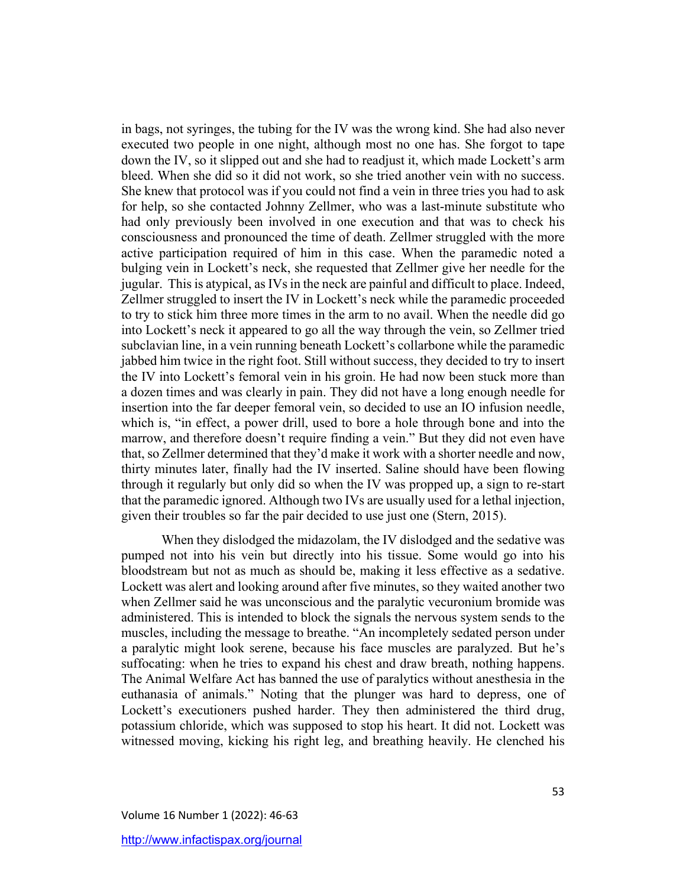in bags, not syringes, the tubing for the IV was the wrong kind. She had also never executed two people in one night, although most no one has. She forgot to tape down the IV, so it slipped out and she had to readjust it, which made Lockett's arm bleed. When she did so it did not work, so she tried another vein with no success. She knew that protocol was if you could not find a vein in three tries you had to ask for help, so she contacted Johnny Zellmer, who was a last-minute substitute who had only previously been involved in one execution and that was to check his consciousness and pronounced the time of death. Zellmer struggled with the more active participation required of him in this case. When the paramedic noted a bulging vein in Lockett's neck, she requested that Zellmer give her needle for the jugular. This is atypical, as IVs in the neck are painful and difficult to place. Indeed, Zellmer struggled to insert the IV in Lockett's neck while the paramedic proceeded to try to stick him three more times in the arm to no avail. When the needle did go into Lockett's neck it appeared to go all the way through the vein, so Zellmer tried subclavian line, in a vein running beneath Lockett's collarbone while the paramedic jabbed him twice in the right foot. Still without success, they decided to try to insert the IV into Lockett's femoral vein in his groin. He had now been stuck more than a dozen times and was clearly in pain. They did not have a long enough needle for insertion into the far deeper femoral vein, so decided to use an IO infusion needle, which is, "in effect, a power drill, used to bore a hole through bone and into the marrow, and therefore doesn't require finding a vein." But they did not even have that, so Zellmer determined that they'd make it work with a shorter needle and now, thirty minutes later, finally had the IV inserted. Saline should have been flowing through it regularly but only did so when the IV was propped up, a sign to re-start that the paramedic ignored. Although two IVs are usually used for a lethal injection, given their troubles so far the pair decided to use just one (Stern, 2015).

When they dislodged the midazolam, the IV dislodged and the sedative was pumped not into his vein but directly into his tissue. Some would go into his bloodstream but not as much as should be, making it less effective as a sedative. Lockett was alert and looking around after five minutes, so they waited another two when Zellmer said he was unconscious and the paralytic vecuronium bromide was administered. This is intended to block the signals the nervous system sends to the muscles, including the message to breathe. "An incompletely sedated person under a paralytic might look serene, because his face muscles are paralyzed. But he's suffocating: when he tries to expand his chest and draw breath, nothing happens. The Animal Welfare Act has banned the use of paralytics without anesthesia in the euthanasia of animals." Noting that the plunger was hard to depress, one of Lockett's executioners pushed harder. They then administered the third drug, potassium chloride, which was supposed to stop his heart. It did not. Lockett was witnessed moving, kicking his right leg, and breathing heavily. He clenched his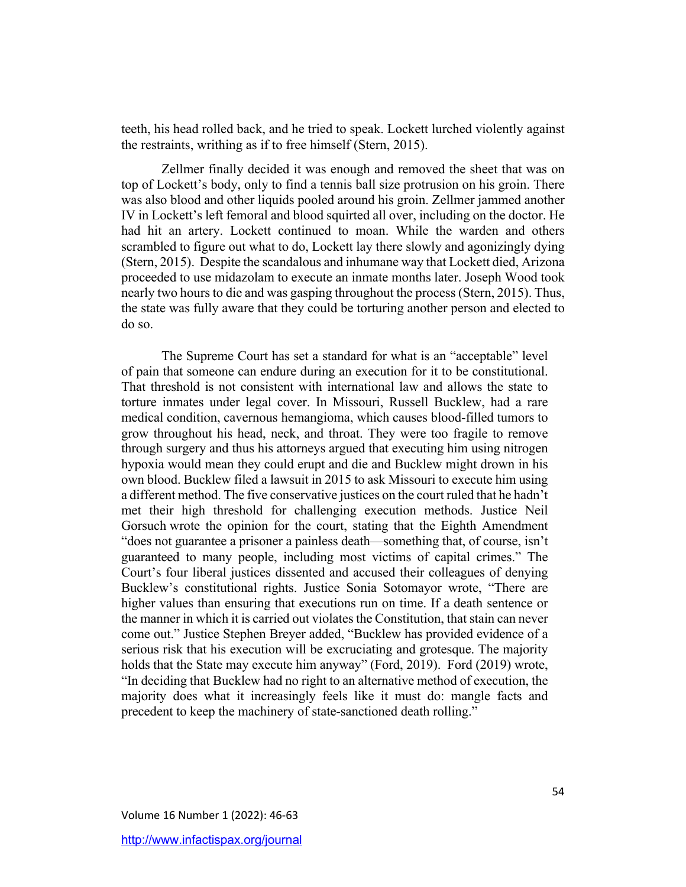teeth, his head rolled back, and he tried to speak. Lockett lurched violently against the restraints, writhing as if to free himself (Stern, 2015).

Zellmer finally decided it was enough and removed the sheet that was on top of Lockett's body, only to find a tennis ball size protrusion on his groin. There was also blood and other liquids pooled around his groin. Zellmer jammed another IV in Lockett's left femoral and blood squirted all over, including on the doctor. He had hit an artery. Lockett continued to moan. While the warden and others scrambled to figure out what to do, Lockett lay there slowly and agonizingly dying (Stern, 2015). Despite the scandalous and inhumane way that Lockett died, Arizona proceeded to use midazolam to execute an inmate months later. Joseph Wood took nearly two hours to die and was gasping throughout the process (Stern, 2015). Thus, the state was fully aware that they could be torturing another person and elected to do so.

The Supreme Court has set a standard for what is an "acceptable" level of pain that someone can endure during an execution for it to be constitutional. That threshold is not consistent with international law and allows the state to torture inmates under legal cover. In Missouri, Russell Bucklew, had a rare medical condition, cavernous hemangioma, which causes blood-filled tumors to grow throughout his head, neck, and throat. They were too fragile to remove through surgery and thus his attorneys argued that executing him using nitrogen hypoxia would mean they could erupt and die and Bucklew might drown in his own blood. Bucklew filed a lawsuit in 2015 to ask Missouri to execute him using a different method. The five conservative justices on the court ruled that he hadn't met their high threshold for challenging execution methods. Justice Neil Gorsuch wrote the opinion for the court, stating that the Eighth Amendment "does not guarantee a prisoner a painless death—something that, of course, isn't guaranteed to many people, including most victims of capital crimes." The Court's four liberal justices dissented and accused their colleagues of denying Bucklew's constitutional rights. Justice Sonia Sotomayor wrote, "There are higher values than ensuring that executions run on time. If a death sentence or the manner in which it is carried out violates the Constitution, that stain can never come out." Justice Stephen Breyer added, "Bucklew has provided evidence of a serious risk that his execution will be excruciating and grotesque. The majority holds that the State may execute him anyway" (Ford, 2019). Ford (2019) wrote, "In deciding that Bucklew had no right to an alternative method of execution, the majority does what it increasingly feels like it must do: mangle facts and precedent to keep the machinery of state-sanctioned death rolling."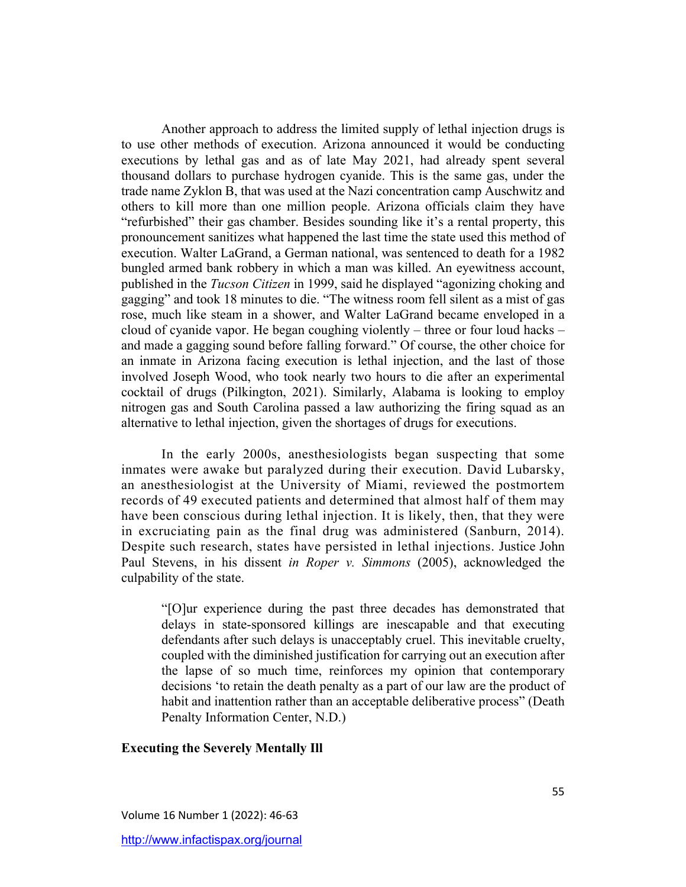Another approach to address the limited supply of lethal injection drugs is to use other methods of execution. Arizona announced it would be conducting executions by lethal gas and as of late May 2021, had already spent several thousand dollars to purchase hydrogen cyanide. This is the same gas, under the trade name Zyklon B, that was used at the Nazi concentration camp Auschwitz and others to kill more than one million people. Arizona officials claim they have "refurbished" their gas chamber. Besides sounding like it's a rental property, this pronouncement sanitizes what happened the last time the state used this method of execution. Walter LaGrand, a German national, was sentenced to death for a 1982 bungled armed bank robbery in which a man was killed. An eyewitness account, published in the *Tucson Citizen* in 1999, said he displayed "agonizing choking and gagging" and took 18 minutes to die. "The witness room fell silent as a mist of gas rose, much like steam in a shower, and Walter LaGrand became enveloped in a cloud of cyanide vapor. He began coughing violently – three or four loud hacks – and made a gagging sound before falling forward." Of course, the other choice for an inmate in Arizona facing execution is lethal injection, and the last of those involved Joseph Wood, who took nearly two hours to die after an experimental cocktail of drugs (Pilkington, 2021). Similarly, Alabama is looking to employ nitrogen gas and South Carolina passed a law authorizing the firing squad as an alternative to lethal injection, given the shortages of drugs for executions.

In the early 2000s, anesthesiologists began suspecting that some inmates were awake but paralyzed during their execution. David Lubarsky, an anesthesiologist at the University of Miami, reviewed the postmortem records of 49 executed patients and determined that almost half of them may have been conscious during lethal injection. It is likely, then, that they were in excruciating pain as the final drug was administered (Sanburn, 2014). Despite such research, states have persisted in lethal injections. Justice John Paul Stevens, in his dissent *in Roper v. Simmons* (2005), acknowledged the culpability of the state.

"[O]ur experience during the past three decades has demonstrated that delays in state-sponsored killings are inescapable and that executing defendants after such delays is unacceptably cruel. This inevitable cruelty, coupled with the diminished justification for carrying out an execution after the lapse of so much time, reinforces my opinion that contemporary decisions 'to retain the death penalty as a part of our law are the product of habit and inattention rather than an acceptable deliberative process" (Death Penalty Information Center, N.D.)

#### **Executing the Severely Mentally Ill**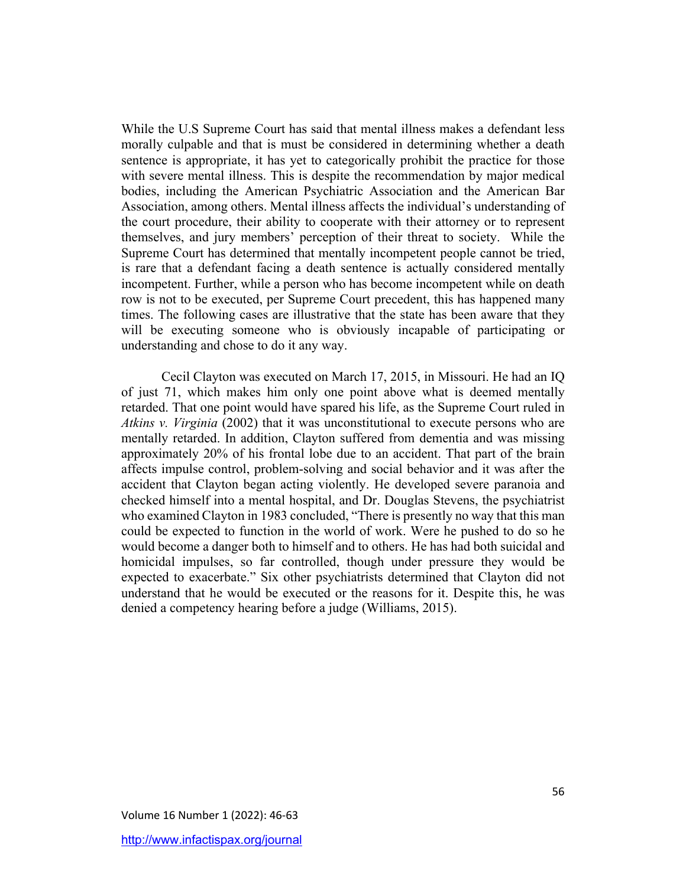While the U.S Supreme Court has said that mental illness makes a defendant less morally culpable and that is must be considered in determining whether a death sentence is appropriate, it has yet to categorically prohibit the practice for those with severe mental illness. This is despite the recommendation by major medical bodies, including the American Psychiatric Association and the American Bar Association, among others. Mental illness affects the individual's understanding of the court procedure, their ability to cooperate with their attorney or to represent themselves, and jury members' perception of their threat to society. While the Supreme Court has determined that mentally incompetent people cannot be tried, is rare that a defendant facing a death sentence is actually considered mentally incompetent. Further, while a person who has become incompetent while on death row is not to be executed, per Supreme Court precedent, this has happened many times. The following cases are illustrative that the state has been aware that they will be executing someone who is obviously incapable of participating or understanding and chose to do it any way.

Cecil Clayton was executed on March 17, 2015, in Missouri. He had an IQ of just 71, which makes him only one point above what is deemed mentally retarded. That one point would have spared his life, as the Supreme Court ruled in *Atkins v. Virginia* (2002) that it was unconstitutional to execute persons who are mentally retarded. In addition, Clayton suffered from dementia and was missing approximately 20% of his frontal lobe due to an accident. That part of the brain affects impulse control, problem-solving and social behavior and it was after the accident that Clayton began acting violently. He developed severe paranoia and checked himself into a mental hospital, and Dr. Douglas Stevens, the psychiatrist who examined Clayton in 1983 concluded, "There is presently no way that this man could be expected to function in the world of work. Were he pushed to do so he would become a danger both to himself and to others. He has had both suicidal and homicidal impulses, so far controlled, though under pressure they would be expected to exacerbate." Six other psychiatrists determined that Clayton did not understand that he would be executed or the reasons for it. Despite this, he was denied a competency hearing before a judge (Williams, 2015).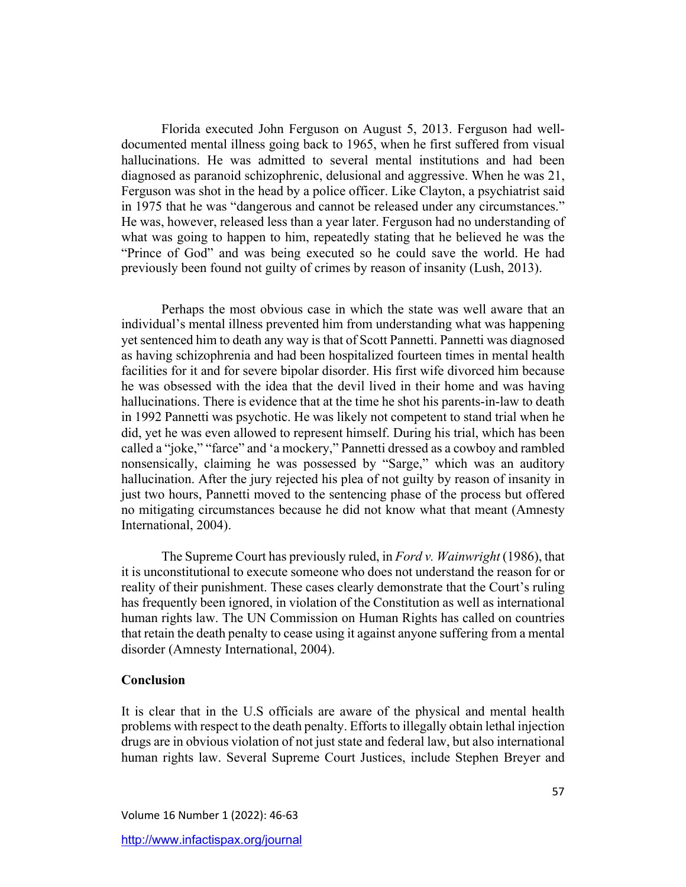Florida executed John Ferguson on August 5, 2013. Ferguson had welldocumented mental illness going back to 1965, when he first suffered from visual hallucinations. He was admitted to several mental institutions and had been diagnosed as paranoid schizophrenic, delusional and aggressive. When he was 21, Ferguson was shot in the head by a police officer. Like Clayton, a psychiatrist said in 1975 that he was "dangerous and cannot be released under any circumstances." He was, however, released less than a year later. Ferguson had no understanding of what was going to happen to him, repeatedly stating that he believed he was the "Prince of God" and was being executed so he could save the world. He had previously been found not guilty of crimes by reason of insanity (Lush, 2013).

Perhaps the most obvious case in which the state was well aware that an individual's mental illness prevented him from understanding what was happening yet sentenced him to death any way is that of Scott Pannetti. Pannetti was diagnosed as having schizophrenia and had been hospitalized fourteen times in mental health facilities for it and for severe bipolar disorder. His first wife divorced him because he was obsessed with the idea that the devil lived in their home and was having hallucinations. There is evidence that at the time he shot his parents-in-law to death in 1992 Pannetti was psychotic. He was likely not competent to stand trial when he did, yet he was even allowed to represent himself. During his trial, which has been called a "joke," "farce" and 'a mockery," Pannetti dressed as a cowboy and rambled nonsensically, claiming he was possessed by "Sarge," which was an auditory hallucination. After the jury rejected his plea of not guilty by reason of insanity in just two hours, Pannetti moved to the sentencing phase of the process but offered no mitigating circumstances because he did not know what that meant (Amnesty International, 2004).

The Supreme Court has previously ruled, in *Ford v. Wainwright* (1986), that it is unconstitutional to execute someone who does not understand the reason for or reality of their punishment. These cases clearly demonstrate that the Court's ruling has frequently been ignored, in violation of the Constitution as well as international human rights law. The UN Commission on Human Rights has called on countries that retain the death penalty to cease using it against anyone suffering from a mental disorder (Amnesty International, 2004).

#### **Conclusion**

It is clear that in the U.S officials are aware of the physical and mental health problems with respect to the death penalty. Efforts to illegally obtain lethal injection drugs are in obvious violation of not just state and federal law, but also international human rights law. Several Supreme Court Justices, include Stephen Breyer and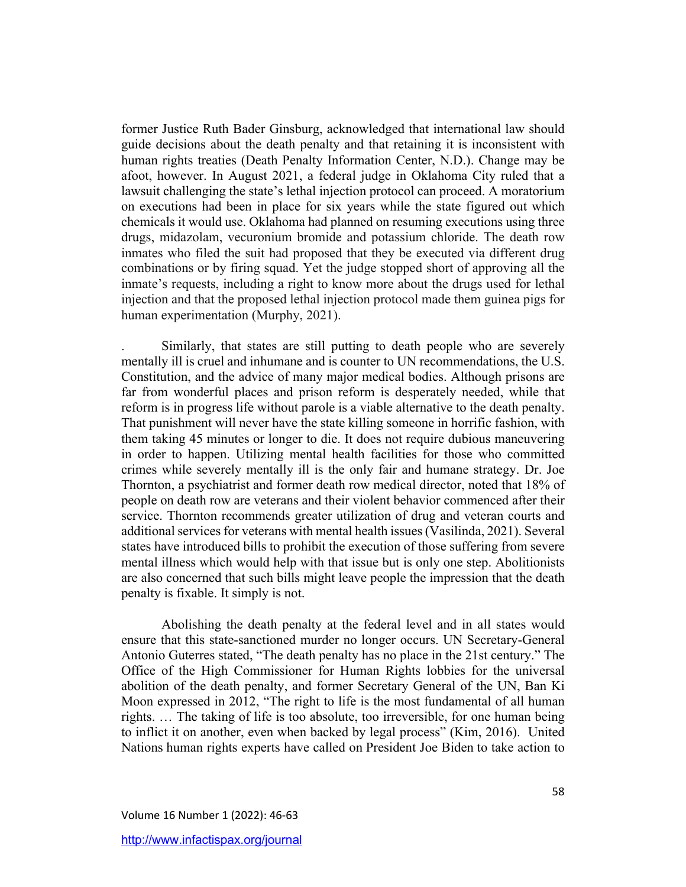former Justice Ruth Bader Ginsburg, acknowledged that international law should guide decisions about the death penalty and that retaining it is inconsistent with human rights treaties (Death Penalty Information Center, N.D.). Change may be afoot, however. In August 2021, a federal judge in Oklahoma City ruled that a lawsuit challenging the state's lethal injection protocol can proceed. A moratorium on executions had been in place for six years while the state figured out which chemicals it would use. Oklahoma had planned on resuming executions using three drugs, midazolam, vecuronium bromide and potassium chloride. The death row inmates who filed the suit had proposed that they be executed via different drug combinations or by firing squad. Yet the judge stopped short of approving all the inmate's requests, including a right to know more about the drugs used for lethal injection and that the proposed lethal injection protocol made them guinea pigs for human experimentation (Murphy, 2021).

. Similarly, that states are still putting to death people who are severely mentally ill is cruel and inhumane and is counter to UN recommendations, the U.S. Constitution, and the advice of many major medical bodies. Although prisons are far from wonderful places and prison reform is desperately needed, while that reform is in progress life without parole is a viable alternative to the death penalty. That punishment will never have the state killing someone in horrific fashion, with them taking 45 minutes or longer to die. It does not require dubious maneuvering in order to happen. Utilizing mental health facilities for those who committed crimes while severely mentally ill is the only fair and humane strategy. Dr. Joe Thornton, a psychiatrist and former death row medical director, noted that 18% of people on death row are veterans and their violent behavior commenced after their service. Thornton recommends greater utilization of drug and veteran courts and additional services for veterans with mental health issues (Vasilinda, 2021). Several states have introduced bills to prohibit the execution of those suffering from severe mental illness which would help with that issue but is only one step. Abolitionists are also concerned that such bills might leave people the impression that the death penalty is fixable. It simply is not.

Abolishing the death penalty at the federal level and in all states would ensure that this state-sanctioned murder no longer occurs. UN Secretary-General Antonio Guterres stated, "The death penalty has no place in the 21st century." The Office of the High Commissioner for Human Rights lobbies for the universal abolition of the death penalty, and former Secretary General of the UN, Ban Ki Moon expressed in 2012, "The right to life is the most fundamental of all human rights. … The taking of life is too absolute, too irreversible, for one human being to inflict it on another, even when backed by legal process" (Kim, 2016). United Nations human rights experts have called on President Joe Biden to take action to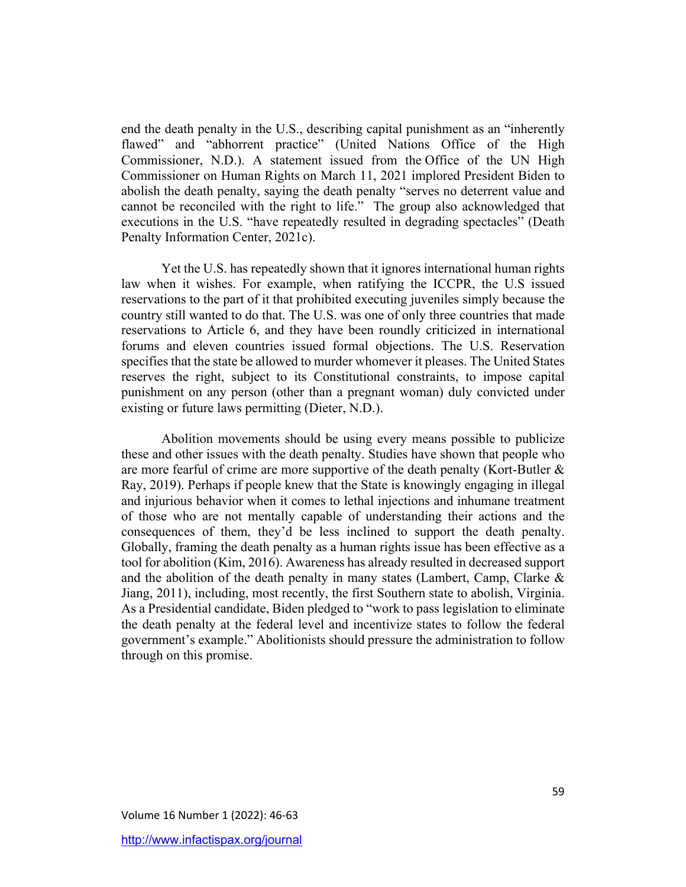end the death penalty in the U.S., describing capital punishment as an "inherently flawed" and "abhorrent practice" (United Nations Office of the High Commissioner, N.D.). A statement issued from the Office of the UN High Commissioner on Human Rights on March 11, 2021 implored President Biden to abolish the death penalty, saying the death penalty "serves no deterrent value and cannot be reconciled with the right to life." The group also acknowledged that executions in the U.S. "have repeatedly resulted in degrading spectacles" (Death Penalty Information Center, 2021c).

Yet the U.S. has repeatedly shown that it ignores international human rights law when it wishes. For example, when ratifying the ICCPR, the U.S issued reservations to the part of it that prohibited executing juveniles simply because the country still wanted to do that. The U.S. was one of only three countries that made reservations to Article 6, and they have been roundly criticized in international forums and eleven countries issued formal objections. The U.S. Reservation specifies that the state be allowed to murder whomever it pleases. The United States reserves the right, subject to its Constitutional constraints, to impose capital punishment on any person (other than a pregnant woman) duly convicted under existing or future laws permitting (Dieter, N.D.).

Abolition movements should be using every means possible to publicize these and other issues with the death penalty. Studies have shown that people who are more fearful of crime are more supportive of the death penalty (Kort-Butler & Ray, 2019). Perhaps if people knew that the State is knowingly engaging in illegal and injurious behavior when it comes to lethal injections and inhumane treatment of those who are not mentally capable of understanding their actions and the consequences of them, they'd be less inclined to support the death penalty. Globally, framing the death penalty as a human rights issue has been effective as a tool for abolition (Kim, 2016). Awareness has already resulted in decreased support and the abolition of the death penalty in many states (Lambert, Camp, Clarke & Jiang, 2011), including, most recently, the first Southern state to abolish, Virginia. As a Presidential candidate, Biden pledged to "work to pass legislation to eliminate the death penalty at the federal level and incentivize states to follow the federal government's example." Abolitionists should pressure the administration to follow through on this promise.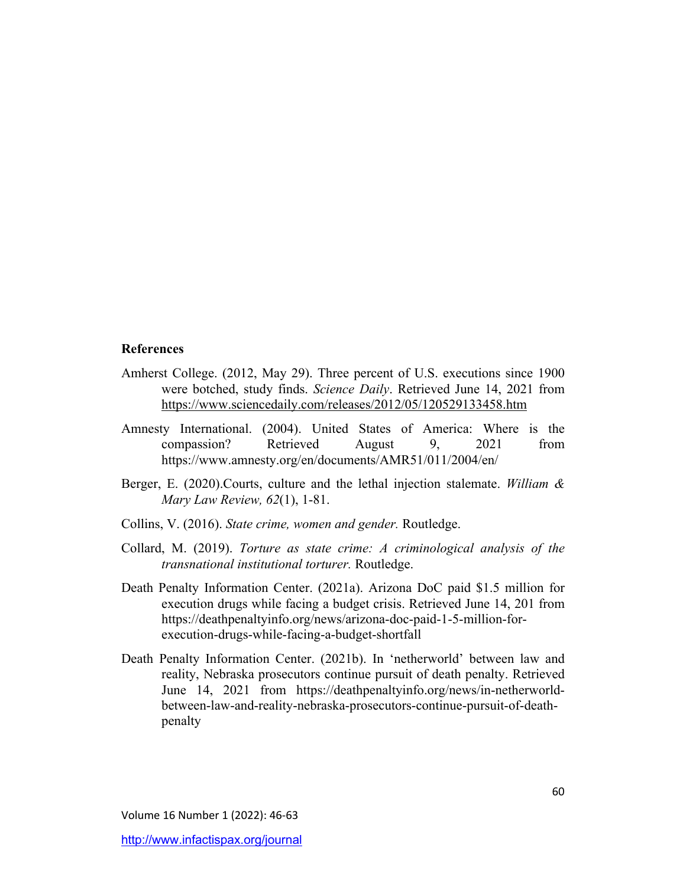#### **References**

- Amherst College. (2012, May 29). Three percent of U.S. executions since 1900 were botched, study finds. *Science Daily*. Retrieved June 14, 2021 from https://www.sciencedaily.com/releases/2012/05/120529133458.htm
- Amnesty International. (2004). United States of America: Where is the compassion? Retrieved August 9, 2021 from https://www.amnesty.org/en/documents/AMR51/011/2004/en/
- Berger, E. (2020).Courts, culture and the lethal injection stalemate. *William & Mary Law Review, 62*(1), 1-81.
- Collins, V. (2016). *State crime, women and gender.* Routledge.
- Collard, M. (2019). *Torture as state crime: A criminological analysis of the transnational institutional torturer.* Routledge.
- Death Penalty Information Center. (2021a). Arizona DoC paid \$1.5 million for execution drugs while facing a budget crisis. Retrieved June 14, 201 from https://deathpenaltyinfo.org/news/arizona-doc-paid-1-5-million-forexecution-drugs-while-facing-a-budget-shortfall
- Death Penalty Information Center. (2021b). In 'netherworld' between law and reality, Nebraska prosecutors continue pursuit of death penalty. Retrieved June 14, 2021 from https://deathpenaltyinfo.org/news/in-netherworldbetween-law-and-reality-nebraska-prosecutors-continue-pursuit-of-deathpenalty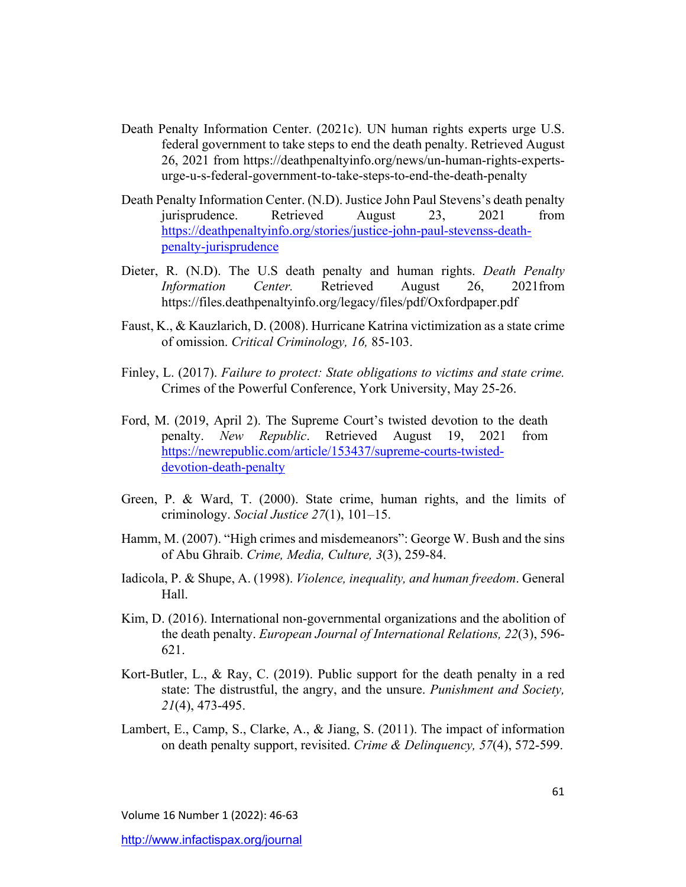- Death Penalty Information Center. (2021c). UN human rights experts urge U.S. federal government to take steps to end the death penalty. Retrieved August 26, 2021 from https://deathpenaltyinfo.org/news/un-human-rights-expertsurge-u-s-federal-government-to-take-steps-to-end-the-death-penalty
- Death Penalty Information Center. (N.D). Justice John Paul Stevens's death penalty jurisprudence. Retrieved August 23, 2021 from https://deathpenaltyinfo.org/stories/justice-john-paul-stevenss-deathpenalty-jurisprudence
- Dieter, R. (N.D). The U.S death penalty and human rights. *Death Penalty Information Center.* Retrieved August 26, 2021from https://files.deathpenaltyinfo.org/legacy/files/pdf/Oxfordpaper.pdf
- Faust, K., & Kauzlarich, D. (2008). Hurricane Katrina victimization as a state crime of omission. *Critical Criminology, 16,* 85-103.
- Finley, L. (2017). *Failure to protect: State obligations to victims and state crime.* Crimes of the Powerful Conference, York University, May 25-26.
- Ford, M. (2019, April 2). The Supreme Court's twisted devotion to the death penalty. *New Republic*. Retrieved August 19, 2021 from https://newrepublic.com/article/153437/supreme-courts-twisteddevotion-death-penalty
- Green, P. & Ward, T. (2000). State crime, human rights, and the limits of criminology. *Social Justice 27*(1), 101–15.
- Hamm, M. (2007). "High crimes and misdemeanors": George W. Bush and the sins of Abu Ghraib. *Crime, Media, Culture, 3*(3), 259-84.
- Iadicola, P. & Shupe, A. (1998). *Violence, inequality, and human freedom*. General Hall.
- Kim, D. (2016). International non-governmental organizations and the abolition of the death penalty. *European Journal of International Relations, 22*(3), 596- 621.
- Kort-Butler, L., & Ray, C. (2019). Public support for the death penalty in a red state: The distrustful, the angry, and the unsure. *Punishment and Society, 21*(4), 473-495.
- Lambert, E., Camp, S., Clarke, A., & Jiang, S. (2011). The impact of information on death penalty support, revisited. *Crime & Delinquency, 57*(4), 572-599.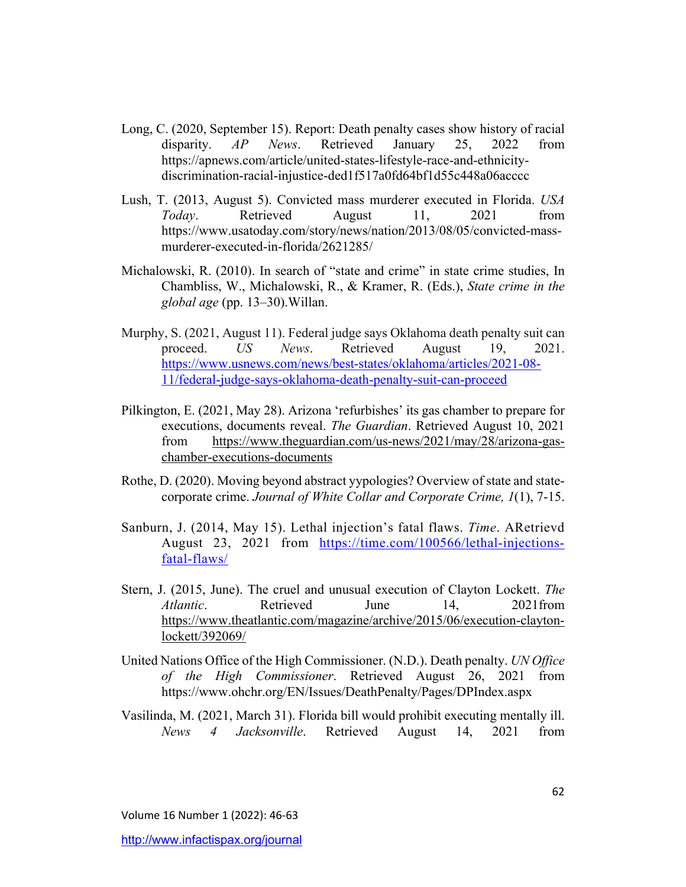- Long, C. (2020, September 15). Report: Death penalty cases show history of racial disparity. *AP News*. Retrieved January 25, 2022 from https://apnews.com/article/united-states-lifestyle-race-and-ethnicitydiscrimination-racial-injustice-ded1f517a0fd64bf1d55c448a06acccc
- Lush, T. (2013, August 5). Convicted mass murderer executed in Florida. *USA Today*. Retrieved August 11, 2021 from https://www.usatoday.com/story/news/nation/2013/08/05/convicted-massmurderer-executed-in-florida/2621285/
- Michalowski, R. (2010). In search of "state and crime" in state crime studies, In Chambliss, W., Michalowski, R., & Kramer, R. (Eds.), *State crime in the global age* (pp. 13–30).Willan.
- Murphy, S. (2021, August 11). Federal judge says Oklahoma death penalty suit can proceed. *US News*. Retrieved August 19, 2021. https://www.usnews.com/news/best-states/oklahoma/articles/2021-08- 11/federal-judge-says-oklahoma-death-penalty-suit-can-proceed
- Pilkington, E. (2021, May 28). Arizona 'refurbishes' its gas chamber to prepare for executions, documents reveal. *The Guardian*. Retrieved August 10, 2021 from https://www.theguardian.com/us-news/2021/may/28/arizona-gaschamber-executions-documents
- Rothe, D. (2020). Moving beyond abstract yypologies? Overview of state and statecorporate crime. *Journal of White Collar and Corporate Crime, 1*(1), 7-15.
- Sanburn, J. (2014, May 15). Lethal injection's fatal flaws. *Time*. ARetrievd August 23, 2021 from https://time.com/100566/lethal-injectionsfatal-flaws/
- Stern, J. (2015, June). The cruel and unusual execution of Clayton Lockett. *The Atlantic*. Retrieved June 14, 2021from https://www.theatlantic.com/magazine/archive/2015/06/execution-claytonlockett/392069/
- United Nations Office of the High Commissioner. (N.D.). Death penalty. *UN Office of the High Commissioner*. Retrieved August 26, 2021 from https://www.ohchr.org/EN/Issues/DeathPenalty/Pages/DPIndex.aspx
- Vasilinda, M. (2021, March 31). Florida bill would prohibit executing mentally ill. *News 4 Jacksonville*. Retrieved August 14, 2021 from